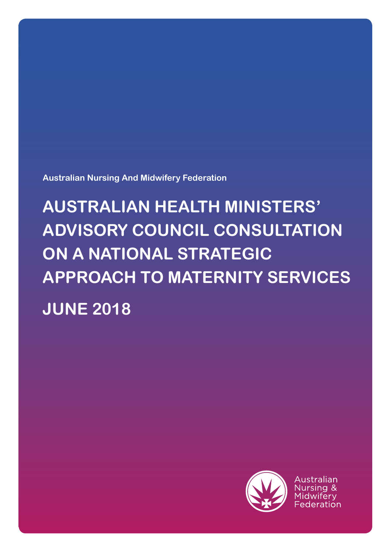**Australian Nursing And Midwifery Federation**

# **AUSTRALIAN HEALTH MINISTERS' ADVISORY COUNCIL CONSULTATION ON A NATIONAL STRATEGIC APPROACH TO MATERNITY SERVICES JUNE 2018**



Australian Nursing & Midwiferv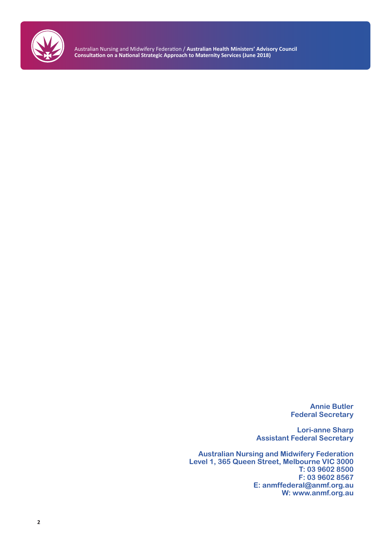

> **Annie Butler Federal Secretary**

**Lori-anne Sharp Assistant Federal Secretary** 

**Australian Nursing and Midwifery Federation Level 1, 365 Queen Street, Melbourne VIC 3000 T: 03 9602 8500 F: 03 9602 8567 E: anmffederal@anmf.org.au W: www.anmf.org.au**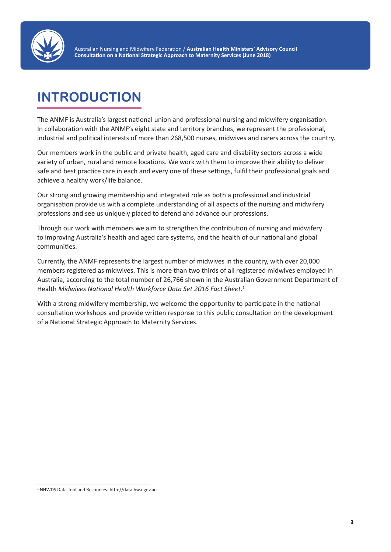

# **INTRODUCTION**

The ANMF is Australia's largest national union and professional nursing and midwifery organisation. In collaboration with the ANMF's eight state and territory branches, we represent the professional, industrial and political interests of more than 268,500 nurses, midwives and carers across the country.

Our members work in the public and private health, aged care and disability sectors across a wide variety of urban, rural and remote locations. We work with them to improve their ability to deliver safe and best practice care in each and every one of these settings, fulfil their professional goals and achieve a healthy work/life balance.

Our strong and growing membership and integrated role as both a professional and industrial organisation provide us with a complete understanding of all aspects of the nursing and midwifery professions and see us uniquely placed to defend and advance our professions.

Through our work with members we aim to strengthen the contribution of nursing and midwifery to improving Australia's health and aged care systems, and the health of our national and global communities.

Currently, the ANMF represents the largest number of midwives in the country, with over 20,000 members registered as midwives. This is more than two thirds of all registered midwives employed in Australia, according to the total number of 26,766 shown in the Australian Government Department of Health *Midwives National Health Workforce Data Set 2016 Fact Sheet.*<sup>1</sup>

With a strong midwifery membership, we welcome the opportunity to participate in the national consultation workshops and provide written response to this public consultation on the development of a National Strategic Approach to Maternity Services.

<sup>1</sup> NHWDS Data Tool and Resources: http://data.hwa.gov.au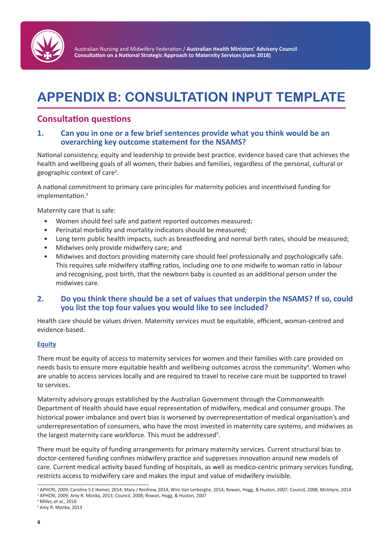

# **APPENDIX B: CONSULTATION INPUT TEMPLATE**

## **Consultation questions**

#### **1. Can you in one or a few brief sentences provide what you think would be an overarching key outcome statement for the NSAMS?**

National consistency, equity and leadership to provide best practice, evidence based care that achieves the health and wellbeing goals of all women, their babies and families, regardless of the personal, cultural or geographic context of care<sup>2</sup>.

A national commitment to primary care principles for maternity policies and incentivised funding for implementation.<sup>3</sup>

Maternity care that is safe:

- Women should feel safe and patient reported outcomes measured;
- Perinatal morbidity and mortality indicators should be measured;
- Long term public health impacts, such as breastfeeding and normal birth rates, should be measured;
- Midwives only provide midwifery care; and
- Midwives and doctors providing maternity care should feel professionally and psychologically safe. This requires safe midwifery staffing ratios, including one to one midwife to woman ratio in labour and recognising, post birth, that the newborn baby is counted as an additional person under the midwives care.

#### **2. Do you think there should be a set of values that underpin the NSAMS? If so, could you list the top four values you would like to see included?**

Health care should be values driven. Maternity services must be equitable, efficient, woman-centred and evidence-based.

#### **Equity**

There must be equity of access to maternity services for women and their families with care provided on needs basis to ensure more equitable health and wellbeing outcomes across the community<sup>4</sup>. Women who are unable to access services locally and are required to travel to receive care must be supported to travel to services.

Maternity advisory groups established by the Australian Government through the Commonwealth Department of Health should have equal representation of midwifery, medical and consumer groups. The historical power imbalance and overt bias is worsened by overrepresentation of medical organisation's and underrepresentation of consumers, who have the most invested in maternity care systems, and midwives as the largest maternity care workforce. This must be addressed<sup>5</sup>.

There must be equity of funding arrangements for primary maternity services. Current structural bias to doctor-centered funding confines midwifery practice and suppresses innovation around new models of care. Current medical activity based funding of hospitals, as well as medico-centric primary services funding, restricts access to midwifery care and makes the input and value of midwifery invisible.

<sup>2</sup> APHCRI, 2009; Caroline S E Homer, 2014; Mary J Renfrew, 2014; Wim Van Lerberghe, 2014; Rowan, Hogg, & Huston, 2007; Council, 2008; McIntyre, 2014 <sup>3</sup> APHCRI, 2009; Amy R. Monka, 2013; Council, 2008; Rowan, Hogg, & Huston, 2007

<sup>4</sup> Miller, et al., 2016

<sup>5</sup> Amy R. Monka, 2013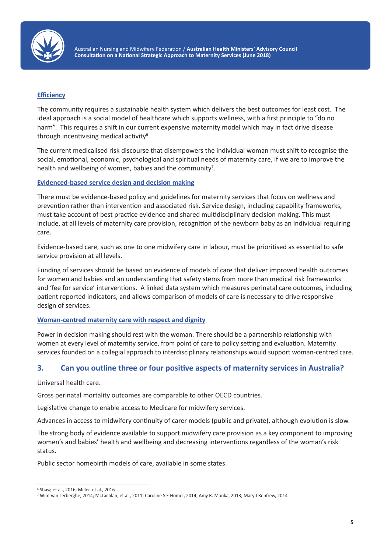

#### **Efficiency**

The community requires a sustainable health system which delivers the best outcomes for least cost. The ideal approach is a social model of healthcare which supports wellness, with a first principle to "do no harm". This requires a shift in our current expensive maternity model which may in fact drive disease through incentivising medical activity<sup>6</sup>.

The current medicalised risk discourse that disempowers the individual woman must shift to recognise the social, emotional, economic, psychological and spiritual needs of maternity care, if we are to improve the health and wellbeing of women, babies and the community<sup>7</sup>.

#### **Evidenced-based service design and decision making**

There must be evidence-based policy and guidelines for maternity services that focus on wellness and prevention rather than intervention and associated risk. Service design, including capability frameworks, must take account of best practice evidence and shared multidisciplinary decision making. This must include, at all levels of maternity care provision, recognition of the newborn baby as an individual requiring care.

Evidence-based care, such as one to one midwifery care in labour, must be prioritised as essential to safe service provision at all levels.

Funding of services should be based on evidence of models of care that deliver improved health outcomes for women and babies and an understanding that safety stems from more than medical risk frameworks and 'fee for service' interventions. A linked data system which measures perinatal care outcomes, including patient reported indicators, and allows comparison of models of care is necessary to drive responsive design of services.

#### **Woman-centred maternity care with respect and dignity**

Power in decision making should rest with the woman. There should be a partnership relationship with women at every level of maternity service, from point of care to policy setting and evaluation. Maternity services founded on a collegial approach to interdisciplinary relationships would support woman-centred care.

#### **3. Can you outline three or four positive aspects of maternity services in Australia?**

Universal health care.

Gross perinatal mortality outcomes are comparable to other OECD countries.

Legislative change to enable access to Medicare for midwifery services.

Advances in access to midwifery continuity of carer models (public and private), although evolution is slow.

The strong body of evidence available to support midwifery care provision as a key component to improving women's and babies' health and wellbeing and decreasing interventions regardless of the woman's risk status.

Public sector homebirth models of care, available in some states.

<sup>6</sup> Shaw, et al., 2016; Miller, et al., 2016

<sup>7</sup> Wim Van Lerberghe, 2014; McLachlan, et al., 2011; Caroline S E Homer, 2014; Amy R. Monka, 2013; Mary J Renfrew, 2014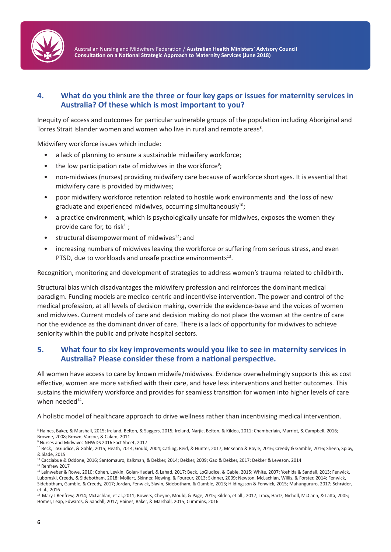

### **4. What do you think are the three or four key gaps or issues for maternity services in Australia? Of these which is most important to you?**

Inequity of access and outcomes for particular vulnerable groups of the population including Aboriginal and Torres Strait Islander women and women who live in rural and remote areas<sup>8</sup>.

Midwifery workforce issues which include:

- a lack of planning to ensure a sustainable midwifery workforce;
- the low participation rate of midwives in the workforce<sup>9</sup>;
- non-midwives (nurses) providing midwifery care because of workforce shortages. It is essential that midwifery care is provided by midwives;
- poor midwifery workforce retention related to hostile work environments and the loss of new graduate and experienced midwives, occurring simultaneously<sup>10</sup>;
- a practice environment, which is psychologically unsafe for midwives, exposes the women they provide care for, to risk $11$ ;
- structural disempowerment of midwives $12$ ; and
- increasing numbers of midwives leaving the workforce or suffering from serious stress, and even PTSD, due to workloads and unsafe practice environments $^{13}$ .

Recognition, monitoring and development of strategies to address women's trauma related to childbirth.

Structural bias which disadvantages the midwifery profession and reinforces the dominant medical paradigm. Funding models are medico-centric and incentivise intervention. The power and control of the medical profession, at all levels of decision making, override the evidence-base and the voices of women and midwives. Current models of care and decision making do not place the woman at the centre of care nor the evidence as the dominant driver of care. There is a lack of opportunity for midwives to achieve seniority within the public and private hospital sectors.

#### **5. What four to six key improvements would you like to see in maternity services in Australia? Please consider these from a national perspective.**

All women have access to care by known midwife/midwives. Evidence overwhelmingly supports this as cost effective, women are more satisfied with their care, and have less interventions and better outcomes. This sustains the midwifery workforce and provides for seamless transition for women into higher levels of care when needed<sup>14</sup>.

A holistic model of healthcare approach to drive wellness rather than incentivising medical intervention.

9 Nurses and Midwives NHWDS 2016 Fact Sheet, 2017

<sup>8</sup> Haines, Baker, & Marshall, 2015; Ireland, Belton, & Saggers, 2015; Ireland, Narjic, Belton, & Kildea, 2011; Chamberlain, Marriot, & Campbell, 2016; Browne, 2008; Brown, Varcoe, & Calam, 2011

<sup>&</sup>lt;sup>10</sup> Beck, LoGiudice, & Gable, 2015; Heath, 2014; Gould, 2004; Catling, Reid, & Hunter, 2017; McKenna & Boyle, 2016; Creedy & Gamble, 2016; Sheen, Spiby, & Slade, 2015

<sup>11</sup> Cacciabue & Oddone, 2016; Santomauro, Kalkman, & Dekker, 2014; Dekker, 2009; Gao & Dekker, 2017; Dekker & Leveson, 2014

<sup>&</sup>lt;sup>12</sup> Renfrew 2017

<sup>&</sup>lt;sup>13</sup> Leinweber & Rowe, 2010; Cohen, Leykin, Golan-Hadari, & Lahad, 2017; Beck, LoGiudice, & Gable, 2015; White, 2007; Yoshida & Sandall, 2013; Fenwick, Lubomski, Creedy, & Sidebotham, 2018; Mollart, Skinner, Newing, & Foureur, 2013; Skinner, 2009; Newton, McLachlan, Willis, & Forster, 2014; Fenwick, Sidebotham, Gamble, & Creedy, 2017; Jordan, Fenwick, Slavin, Sidebotham, & Gamble, 2013; Hildingsson & Fenwick, 2015; Mahungururo, 2017; Schrøder, et al., 2016

<sup>14</sup> Mary J Renfrew, 2014; McLachlan, et al.,2011; Bowers, Cheyne, Mould, & Page, 2015; Kildea, et all., 2017; Tracy, Hartz, Nicholl, McCann, & Latta, 2005; Homer, Leap, Edwards, & Sandall, 2017; Haines, Baker, & Marshall, 2015; Cummins, 2016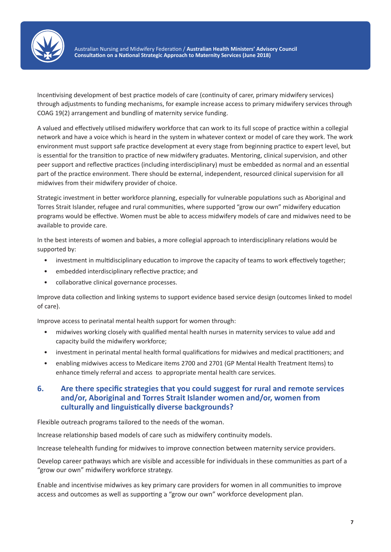

Incentivising development of best practice models of care (continuity of carer, primary midwifery services) through adjustments to funding mechanisms, for example increase access to primary midwifery services through COAG 19(2) arrangement and bundling of maternity service funding.

A valued and effectively utilised midwifery workforce that can work to its full scope of practice within a collegial network and have a voice which is heard in the system in whatever context or model of care they work. The work environment must support safe practice development at every stage from beginning practice to expert level, but is essential for the transition to practice of new midwifery graduates. Mentoring, clinical supervision, and other peer support and reflective practices (including interdisciplinary) must be embedded as normal and an essential part of the practice environment. There should be external, independent, resourced clinical supervision for all midwives from their midwifery provider of choice.

Strategic investment in better workforce planning, especially for vulnerable populations such as Aboriginal and Torres Strait Islander, refugee and rural communities, where supported "grow our own" midwifery education programs would be effective. Women must be able to access midwifery models of care and midwives need to be available to provide care.

In the best interests of women and babies, a more collegial approach to interdisciplinary relations would be supported by:

- investment in multidisciplinary education to improve the capacity of teams to work effectively together;
- embedded interdisciplinary reflective practice; and
- collaborative clinical governance processes.

Improve data collection and linking systems to support evidence based service design (outcomes linked to model of care).

Improve access to perinatal mental health support for women through:

- midwives working closely with qualified mental health nurses in maternity services to value add and capacity build the midwifery workforce;
- investment in perinatal mental health formal qualifications for midwives and medical practitioners; and
- enabling midwives access to Medicare items 2700 and 2701 (GP Mental Health Treatment Items) to enhance timely referral and access to appropriate mental health care services.

#### **6. Are there specific strategies that you could suggest for rural and remote services and/or, Aboriginal and Torres Strait Islander women and/or, women from culturally and linguistically diverse backgrounds?**

Flexible outreach programs tailored to the needs of the woman.

Increase relationship based models of care such as midwifery continuity models.

Increase telehealth funding for midwives to improve connection between maternity service providers.

Develop career pathways which are visible and accessible for individuals in these communities as part of a "grow our own" midwifery workforce strategy.

Enable and incentivise midwives as key primary care providers for women in all communities to improve access and outcomes as well as supporting a "grow our own" workforce development plan.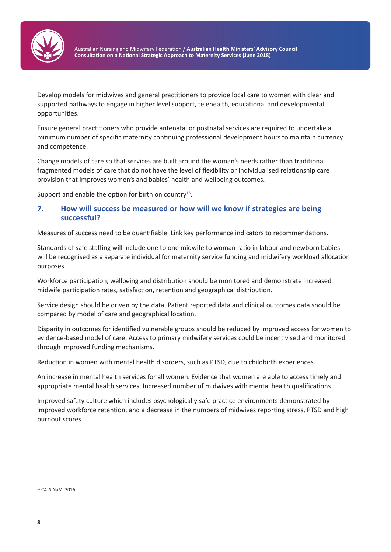

Develop models for midwives and general practitioners to provide local care to women with clear and supported pathways to engage in higher level support, telehealth, educational and developmental opportunities.

Ensure general practitioners who provide antenatal or postnatal services are required to undertake a minimum number of specific maternity continuing professional development hours to maintain currency and competence.

Change models of care so that services are built around the woman's needs rather than traditional fragmented models of care that do not have the level of flexibility or individualised relationship care provision that improves women's and babies' health and wellbeing outcomes.

Support and enable the option for birth on country<sup>15</sup>.

#### **7. How will success be measured or how will we know if strategies are being successful?**

Measures of success need to be quantifiable. Link key performance indicators to recommendations.

Standards of safe staffing will include one to one midwife to woman ratio in labour and newborn babies will be recognised as a separate individual for maternity service funding and midwifery workload allocation purposes.

Workforce participation, wellbeing and distribution should be monitored and demonstrate increased midwife participation rates, satisfaction, retention and geographical distribution.

Service design should be driven by the data. Patient reported data and clinical outcomes data should be compared by model of care and geographical location.

Disparity in outcomes for identified vulnerable groups should be reduced by improved access for women to evidence-based model of care. Access to primary midwifery services could be incentivised and monitored through improved funding mechanisms.

Reduction in women with mental health disorders, such as PTSD, due to childbirth experiences.

An increase in mental health services for all women. Evidence that women are able to access timely and appropriate mental health services. Increased number of midwives with mental health qualifications.

Improved safety culture which includes psychologically safe practice environments demonstrated by improved workforce retention, and a decrease in the numbers of midwives reporting stress, PTSD and high burnout scores.

<sup>&</sup>lt;sup>15</sup> CATSINaM, 2016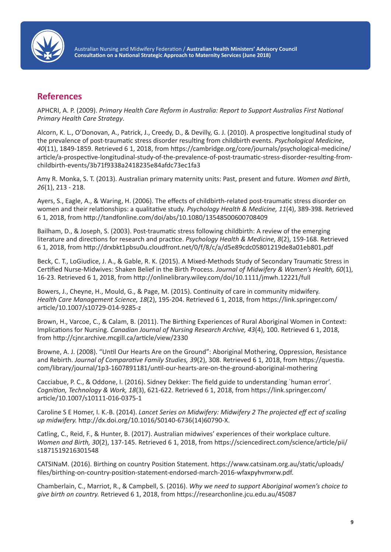

## **References**

APHCRI, A. P. (2009). *Primary Health Care Reform in Australia: Report to Support Australias First National Primary Health Care Strategy*.

Alcorn, K. L., O'Donovan, A., Patrick, J., Creedy, D., & Devilly, G. J. (2010). A prospective longitudinal study of the prevalence of post-traumatic stress disorder resulting from childbirth events. *Psychological Medicine*, *40*(11), 1849-1859. Retrieved 6 1, 2018, from https://cambridge.org/core/journals/psychological-medicine/ article/a-prospective-longitudinal-study-of-the-prevalence-of-post-traumatic-stress-disorder-resulting-fromchildbirth-events/3b71f9338a2418235e84afdc73ec1fa3

Amy R. Monka, S. T. (2013). Australian primary maternity units: Past, present and future. *Women and Birth*, *26*(1), 213 - 218.

Ayers, S., Eagle, A., & Waring, H. (2006). The effects of childbirth-related post-traumatic stress disorder on women and their relationships: a qualitative study. *Psychology Health & Medicine, 11*(4), 389-398. Retrieved 6 1, 2018, from http://tandfonline.com/doi/abs/10.1080/13548500600708409

Bailham, D., & Joseph, S. (2003). Post-traumatic stress following childbirth: A review of the emerging literature and directions for research and practice. *Psychology Health & Medicine, 8*(2), 159-168. Retrieved 6 1, 2018, from http://drxbkt1pbsu0u.cloudfront.net/0/f/8/c/a/d5e89cdc05801219de8a01eb801.pdf

Beck, C. T., LoGiudice, J. A., & Gable, R. K. (2015). A Mixed-Methods Study of Secondary Traumatic Stress in Certified Nurse-Midwives: Shaken Belief in the Birth Process. *Journal of Midwifery & Women's Health, 60*(1), 16-23. Retrieved 6 1, 2018, from http://onlinelibrary.wiley.com/doi/10.1111/jmwh.12221/full

Bowers, J., Cheyne, H., Mould, G., & Page, M. (2015). Continuity of care in community midwifery. *Health Care Management Science, 18*(2), 195-204. Retrieved 6 1, 2018, from https://link.springer.com/ article/10.1007/s10729-014-9285-z

Brown, H., Varcoe, C., & Calam, B. (2011). The Birthing Experiences of Rural Aboriginal Women in Context: Implications for Nursing. *Canadian Journal of Nursing Research Archive, 43*(4), 100. Retrieved 6 1, 2018, from http://cjnr.archive.mcgill.ca/article/view/2330

Browne, A. J. (2008). "Until Our Hearts Are on the Ground": Aboriginal Mothering, Oppression, Resistance and Rebirth. *Journal of Comparative Family Studies, 39*(2), 308. Retrieved 6 1, 2018, from https://questia. com/library/journal/1p3-1607891181/until-our-hearts-are-on-the-ground-aboriginal-mothering

Cacciabue, P. C., & Oddone, I. (2016). Sidney Dekker: The field guide to understanding `human error'. *Cognition, Technology & Work, 18*(3), 621-622. Retrieved 6 1, 2018, from https://link.springer.com/ article/10.1007/s10111-016-0375-1

Caroline S E Homer, I. K.-B. (2014). *Lancet Series on Midwifery: Midwifery 2 The projected eff ect of scaling up midwifery.* http://dx.doi.org/10.1016/S0140-6736(14)60790-X.

Catling, C., Reid, F., & Hunter, B. (2017). Australian midwives' experiences of their workplace culture. *Women and Birth, 30*(2), 137-145. Retrieved 6 1, 2018, from https://sciencedirect.com/science/article/pii/ s1871519216301548

CATSINaM. (2016). Birthing on country Position Statement. https://www.catsinam.org.au/static/uploads/ files/birthing-on-country-position-statement-endorsed-march-2016-wfaxpyhvmxrw.pdf.

Chamberlain, C., Marriot, R., & Campbell, S. (2016). *Why we need to support Aboriginal women's choice to give birth on country.* Retrieved 6 1, 2018, from https://researchonline.jcu.edu.au/45087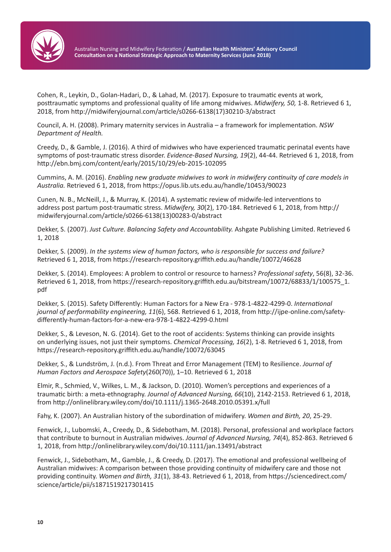

Cohen, R., Leykin, D., Golan-Hadari, D., & Lahad, M. (2017). Exposure to traumatic events at work, posttraumatic symptoms and professional quality of life among midwives. *Midwifery, 50,* 1-8. Retrieved 6 1, 2018, from http://midwiferyjournal.com/article/s0266-6138(17)30210-3/abstract

Council, A. H. (2008). Primary maternity services in Australia – a framework for implementation. *NSW Department of Health.*

Creedy, D., & Gamble, J. (2016). A third of midwives who have experienced traumatic perinatal events have symptoms of post-traumatic stress disorder. *Evidence-Based Nursing, 19*(2), 44-44. Retrieved 6 1, 2018, from http://ebn.bmj.com/content/early/2015/10/29/eb-2015-102095

Cummins, A. M. (2016). *Enabling new graduate midwives to work in midwifery continuity of care models in Australia.* Retrieved 6 1, 2018, from https://opus.lib.uts.edu.au/handle/10453/90023

Cunen, N. B., McNeill, J., & Murray, K. (2014). A systematic review of midwife-led interventions to address post partum post-traumatic stress. *Midwifery, 30*(2), 170-184. Retrieved 6 1, 2018, from http:// midwiferyjournal.com/article/s0266-6138(13)00283-0/abstract

Dekker, S. (2007). *Just Culture. Balancing Safety and Accountability.* Ashgate Publishing Limited. Retrieved 6 1, 2018

Dekker, S. (2009). *In the systems view of human factors, who is responsible for success and failure?*  Retrieved 6 1, 2018, from https://research-repository.griffith.edu.au/handle/10072/46628

Dekker, S. (2014). Employees: A problem to control or resource to harness? *Professional safety*, 56(8), 32-36. Retrieved 6 1, 2018, from https://research-repository.griffith.edu.au/bitstream/10072/68833/1/100575\_1. pdf

Dekker, S. (2015). Safety Differently: Human Factors for a New Era - 978-1-4822-4299-0. *International journal of performability engineering, 11*(6), 568. Retrieved 6 1, 2018, from http://ijpe-online.com/safetydifferently-human-factors-for-a-new-era-978-1-4822-4299-0.html

Dekker, S., & Leveson, N. G. (2014). Get to the root of accidents: Systems thinking can provide insights on underlying issues, not just their symptoms. *Chemical Processing, 16*(2), 1-8. Retrieved 6 1, 2018, from https://research-repository.griffith.edu.au/handle/10072/63045

Dekker, S., & Lundström, J. (n.d.). From Threat and Error Management (TEM) to Resilience. *Journal of Human Factors and Aerospace Safety*(260(70)), 1–10. Retrieved 6 1, 2018

Elmir, R., Schmied, V., Wilkes, L. M., & Jackson, D. (2010). Women's perceptions and experiences of a traumatic birth: a meta‐ethnography. *Journal of Advanced Nursing, 66*(10), 2142-2153. Retrieved 6 1, 2018, from http://onlinelibrary.wiley.com/doi/10.1111/j.1365-2648.2010.05391.x/full

Fahy, K. (2007). An Australian history of the subordination of midwifery. *Women and Birth, 20*, 25-29.

Fenwick, J., Lubomski, A., Creedy, D., & Sidebotham, M. (2018). Personal, professional and workplace factors that contribute to burnout in Australian midwives. *Journal of Advanced Nursing, 74*(4), 852-863. Retrieved 6 1, 2018, from http://onlinelibrary.wiley.com/doi/10.1111/jan.13491/abstract

Fenwick, J., Sidebotham, M., Gamble, J., & Creedy, D. (2017). The emotional and professional wellbeing of Australian midwives: A comparison between those providing continuity of midwifery care and those not providing continuity. *Women and Birth, 31*(1), 38-43. Retrieved 6 1, 2018, from https://sciencedirect.com/ science/article/pii/s1871519217301415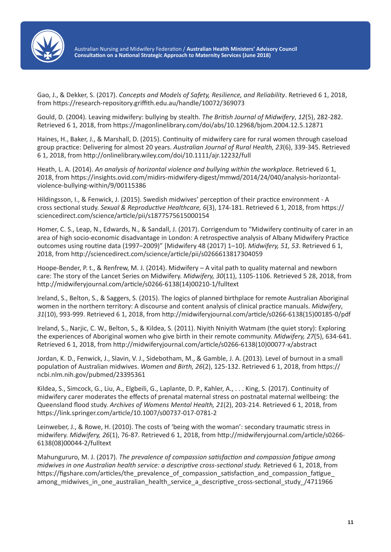

Gao, J., & Dekker, S. (2017). *Concepts and Models of Safety, Resilience, and Reliability*. Retrieved 6 1, 2018, from https://research-repository.griffith.edu.au/handle/10072/369073

Gould, D. (2004). Leaving midwifery: bullying by stealth. *The British Journal of Midwifery*, *12*(5), 282-282. Retrieved 6 1, 2018, from https://magonlinelibrary.com/doi/abs/10.12968/bjom.2004.12.5.12871

Haines, H., Baker, J., & Marshall, D. (2015). Continuity of midwifery care for rural women through caseload group practice: Delivering for almost 20 years. *Australian Journal of Rural Health, 23*(6), 339-345. Retrieved 6 1, 2018, from http://onlinelibrary.wiley.com/doi/10.1111/ajr.12232/full

Heath, L. A. (2014). *An analysis of horizontal violence and bullying within the workplace*. Retrieved 6 1, 2018, from https://insights.ovid.com/midirs-midwifery-digest/mmwd/2014/24/040/analysis-horizontalviolence-bullying-within/9/00115386

Hildingsson, I., & Fenwick, J. (2015). Swedish midwives' perception of their practice environment - A cross sectional study. *Sexual & Reproductive Healthcare, 6*(3), 174-181. Retrieved 6 1, 2018, from https:// sciencedirect.com/science/article/pii/s1877575615000154

Homer, C. S., Leap, N., Edwards, N., & Sandall, J. (2017). Corrigendum to "Midwifery continuity of carer in an area of high socio-economic disadvantage in London: A retrospective analysis of Albany Midwifery Practice outcomes using routine data (1997–2009)" [Midwifery 48 (2017) 1–10]. *Midwifery, 51, 53*. Retrieved 6 1, 2018, from http://sciencedirect.com/science/article/pii/s0266613817304059

Hoope-Bender, P. t., & Renfrew, M. J. (2014). Midwifery – A vital path to quality maternal and newborn care: The story of the Lancet Series on Midwifery. *Midwifery, 30*(11), 1105-1106. Retrieved 5 28, 2018, from http://midwiferyjournal.com/article/s0266-6138(14)00210-1/fulltext

Ireland, S., Belton, S., & Saggers, S. (2015). The logics of planned birthplace for remote Australian Aboriginal women in the northern territory: A discourse and content analysis of clinical practice manuals. *Midwifery*, *31*(10), 993-999. Retrieved 6 1, 2018, from http://midwiferyjournal.com/article/s0266-6138(15)00185-0/pdf

Ireland, S., Narjic, C. W., Belton, S., & Kildea, S. (2011). Niyith Nniyith Watmam (the quiet story): Exploring the experiences of Aboriginal women who give birth in their remote community. *Midwifery, 27*(5), 634-641. Retrieved 6 1, 2018, from http://midwiferyjournal.com/article/s0266-6138(10)00077-x/abstract

Jordan, K. D., Fenwick, J., Slavin, V. J., Sidebotham, M., & Gamble, J. A. (2013). Level of burnout in a small population of Australian midwives. *Women and Birth, 26*(2), 125-132. Retrieved 6 1, 2018, from https:// ncbi.nlm.nih.gov/pubmed/23395361

Kildea, S., Simcock, G., Liu, A., Elgbeili, G., Laplante, D. P., Kahler, A., . . . King, S. (2017). Continuity of midwifery carer moderates the effects of prenatal maternal stress on postnatal maternal wellbeing: the Queensland flood study. *Archives of Womens Mental Health, 21*(2), 203-214. Retrieved 6 1, 2018, from https://link.springer.com/article/10.1007/s00737-017-0781-2

Leinweber, J., & Rowe, H. (2010). The costs of 'being with the woman': secondary traumatic stress in midwifery. *Midwifery, 26*(1), 76-87. Retrieved 6 1, 2018, from http://midwiferyjournal.com/article/s0266- 6138(08)00044-2/fulltext

Mahungururo, M. J. (2017). *The prevalence of compassion satisfaction and compassion fatigue among midwives in one Australian health service: a descriptive cross-sectional study.* Retrieved 6 1, 2018, from https://figshare.com/articles/the\_prevalence\_of\_compassion\_satisfaction\_and\_compassion\_fatigue among midwives in one australian health service a descriptive cross-sectional study /4711966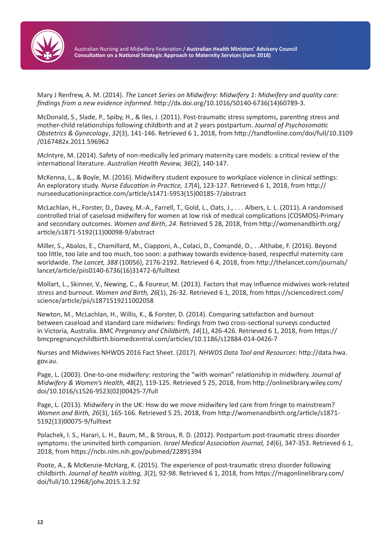

Mary J Renfrew, A. M. (2014). *The Lancet Series on Midwifery: Midwifery 1: Midwifery and quality care: findings from a new evidence informed*. http://dx.doi.org/10.1016/S0140-6736(14)60789-3.

McDonald, S., Slade, P., Spiby, H., & Iles, J. (2011). Post-traumatic stress symptoms, parenting stress and mother-child relationships following childbirth and at 2 years postpartum. *Journal of Psychosomatic Obstetrics & Gynecology*, *32*(3), 141-146. Retrieved 6 1, 2018, from http://tandfonline.com/doi/full/10.3109 /0167482x.2011.596962

McIntyre, M. (2014). Safety of non-medically led primary maternity care models: a critical review of the international literature. *Australian Health Review, 36*(2), 140-147.

McKenna, L., & Boyle, M. (2016). Midwifery student exposure to workplace violence in clinical settings: An exploratory study. *Nurse Education in Practice, 17*(4), 123-127. Retrieved 6 1, 2018, from http:// nurseeducationinpractice.com/article/s1471-5953(15)00185-7/abstract

McLachlan, H., Forster, D., Davey, M.-A., Farrell, T., Gold, L., Oats, J., . . . Albers, L. L. (2011). A randomised controlled trial of caseload midwifery for women at low risk of medical complications (COSMOS)-Primary and secondary outcomes. *Women and Birth*, *24*. Retrieved 5 28, 2018, from http://womenandbirth.org/ article/s1871-5192(11)00098-9/abstract

Miller, S., Abalos, E., Chamillard, M., Ciapponi, A., Colaci, D., Comandé, D., . .Althabe, F. (2016). Beyond too little, too late and too much, too soon: a pathway towards evidence-based, respectful maternity care worldwide. *The Lancet, 388* (10056), 2176-2192. Retrieved 6 4, 2018, from http://thelancet.com/journals/ lancet/article/piis0140-6736(16)31472-6/fulltext

Mollart, L., Skinner, V., Newing, C., & Foureur, M. (2013). Factors that may influence midwives work-related stress and burnout. *Women and Birth, 26*(1), 26-32. Retrieved 6 1, 2018, from https://sciencedirect.com/ science/article/pii/s1871519211002058

Newton, M., McLachlan, H., Willis, K., & Forster, D. (2014). Comparing satisfaction and burnout between caseload and standard care midwives: findings from two cross-sectional surveys conducted in Victoria, Australia. BMC *Pregnancy and Childbirth, 14*(1), 426-426. Retrieved 6 1, 2018, from https:// bmcpregnancychildbirth.biomedcentral.com/articles/10.1186/s12884-014-0426-7

Nurses and Midwives NHWDS 2016 Fact Sheet. (2017). *NHWDS Data Tool and Resources*: http://data.hwa. gov.au.

Page, L. (2003). One-to-one midwifery: restoring the "with woman" relationship in midwifery. *Journal of Midwifery & Women's Health, 48*(2), 119-125. Retrieved 5 25, 2018, from http://onlinelibrary.wiley.com/ doi/10.1016/s1526-9523(02)00425-7/full

Page, L. (2013). Midwifery in the UK: How do we move midwifery led care from fringe to mainstream? *Women and Birth, 26*(3), 165-166. Retrieved 5 25, 2018, from http://womenandbirth.org/article/s1871- 5192(13)00075-9/fulltext

Polachek, I. S., Harari, L. H., Baum, M., & Strous, R. D. (2012). Postpartum post-traumatic stress disorder symptoms: the uninvited birth companion. *Israel Medical Association Journal, 14*(6), 347-353. Retrieved 6 1, 2018, from https://ncbi.nlm.nih.gov/pubmed/22891394

Poote, A., & McKenzie-McHarg, K. (2015). The experience of post-traumatic stress disorder following childbirth. *Journal of health visiting, 3*(2), 92-98. Retrieved 6 1, 2018, from https://magonlinelibrary.com/ doi/full/10.12968/johv.2015.3.2.92